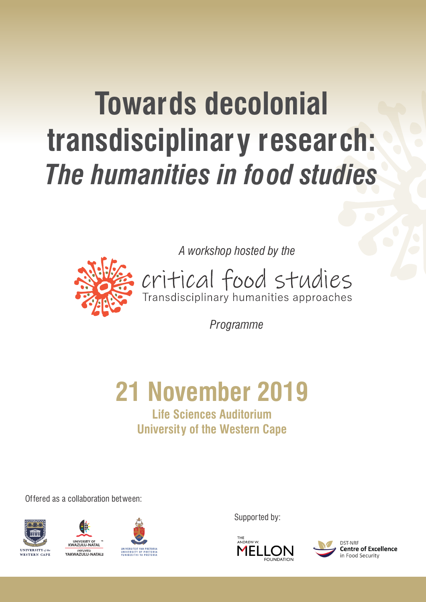# **Towards decolonial transdisciplinary research:** *The humanities in food studies*

*A workshop hosted by the*



critical food studies

*Programme*

# **21 November 2019**

# **Life Sciences Auditorium University of the Western Cape**

Offered as a collaboration between:







Supported by:



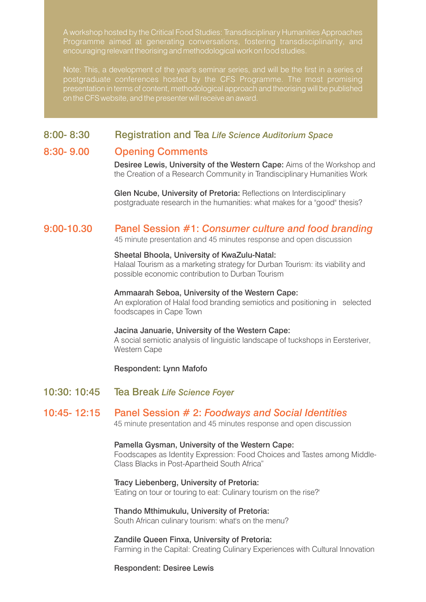A workshop hosted by the Critical Food Studies: Transdisciplinary Humanities Approaches Programme aimed at generating conversations, fostering transdisciplinarity, and encouraging relevant theorising and methodological work on food studies.

Note: This, a development of the year's seminar series, and will be the first in a series of postgraduate conferences hosted by the CFS Programme. The most promising presentation in terms of content, methodological approach and theorising will be published on the CFS website, and the presenter will receive an award.

### 8:00- 8:30 Registration and Tea *Life Science Auditorium Space*

### 8:30- 9.00 Opening Comments

Desiree Lewis, University of the Western Cape: Aims of the Workshop and the Creation of a Research Community in Trandisciplinary Humanities Work

Glen Ncube, University of Pretoria: Reflections on Interdisciplinary postgraduate research in the humanities: what makes for a "good" thesis?

### 9:00-10.30 Panel Session #1: *Consumer culture and food branding*

45 minute presentation and 45 minutes response and open discussion

#### Sheetal Bhoola, University of KwaZulu-Natal:

Halaal Tourism as a marketing strategy for Durban Tourism: its viability and possible economic contribution to Durban Tourism

#### Ammaarah Seboa, University of the Western Cape:

An exploration of Halal food branding semiotics and positioning in selected foodscapes in Cape Town

#### Jacina Januarie, University of the Western Cape:

A social semiotic analysis of linguistic landscape of tuckshops in Eersteriver, Western Cape

#### Respondent: Lynn Mafofo

10:30: 10:45 Tea Break *Life Science Foyer*

# 10:45- 12:15 Panel Session # 2: *Foodways and Social Identities*

45 minute presentation and 45 minutes response and open discussion

#### Pamella Gysman, University of the Western Cape:

Foodscapes as Identity Expression: Food Choices and Tastes among Middle-Class Blacks in Post-Apartheid South Africa"

#### Tracy Liebenberg, University of Pretoria: 'Eating on tour or touring to eat: Culinary tourism on the rise?'

#### Thando Mthimukulu, University of Pretoria: South African culinary tourism: what's on the menu?

Zandile Queen Finxa, University of Pretoria: Farming in the Capital: Creating Culinary Experiences with Cultural Innovation

Respondent: Desiree Lewis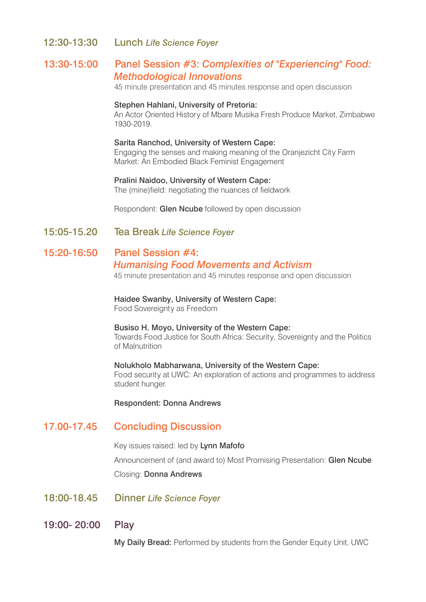#### 12:30-13:30 Lunch *Life Science Foyer*

### 13:30-15:00 Panel Session #3: *Complexities of "Experiencing" Food: Methodological Innovations*

45 minute presentation and 45 minutes response and open discussion

#### Stephen Hahlani, University of Pretoria:

An Actor Oriented History of Mbare Musika Fresh Produce Market, Zimbabwe 1930-2019.

#### Sarita Ranchod, University of Western Cape:

Engaging the senses and making meaning of the Oranjezicht City Farm Market: An Embodied Black Feminist Engagement

## Pralini Naidoo, University of Western Cape:

The (mine)field: negotiating the nuances of fieldwork

Respondent: Glen Ncube followed by open discussion

15:05-15.20 Tea Break *Life Science Foyer*

#### 15:20-16:50 Panel Session #4:

#### *Humanising Food Movements and Activism*

45 minute presentation and 45 minutes response and open discussion

Haidee Swanby, University of Western Cape: Food Sovereignty as Freedom

#### Busiso H. Moyo, University of the Western Cape:

Towards Food Justice for South Africa: Security, Sovereignty and the Politics of Malnutrition

#### Nolukholo Mabharwana, University of the Western Cape: Food security at UWC: An exploration of actions and programmes to address student hunger.

Respondent: Donna Andrews

### 17.00-17.45 Concluding Discussion

Key issues raised: led by Lynn Mafofo Announcement of (and award to) Most Promising Presentation: Glen Ncube Closing: Donna Andrews

- 18:00-18.45 Dinner *Life Science Foyer*
- 19:00- 20:00 Play

My Daily Bread: Performed by students from the Gender Equity Unit, UWC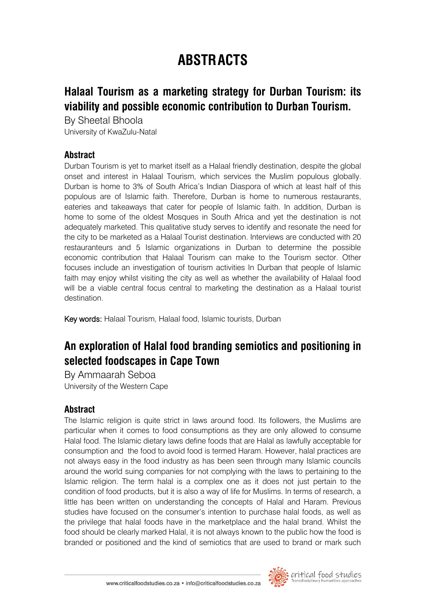# **ABSTRACTS**

# **Halaal Tourism as a marketing strategy for Durban Tourism: its viability and possible economic contribution to Durban Tourism.**

By Sheetal Bhoola University of KwaZulu-Natal

### **Abstract**

Durban Tourism is yet to market itself as a Halaal friendly destination, despite the global onset and interest in Halaal Tourism, which services the Muslim populous globally. Durban is home to 3% of South Africa's Indian Diaspora of which at least half of this populous are of Islamic faith. Therefore, Durban is home to numerous restaurants, eateries and takeaways that cater for people of Islamic faith. In addition, Durban is home to some of the oldest Mosques in South Africa and yet the destination is not adequately marketed. This qualitative study serves to identify and resonate the need for the city to be marketed as a Halaal Tourist destination. Interviews are conducted with 20 restauranteurs and 5 Islamic organizations in Durban to determine the possible economic contribution that Halaal Tourism can make to the Tourism sector. Other focuses include an investigation of tourism activities In Durban that people of Islamic faith may enjoy whilst visiting the city as well as whether the availability of Halaal food will be a viable central focus central to marketing the destination as a Halaal tourist destination.

Key words: Halaal Tourism, Halaal food, Islamic tourists, Durban

# **An exploration of Halal food branding semiotics and positioning in selected foodscapes in Cape Town**

By Ammaarah Seboa University of the Western Cape

### **Abstract**

The Islamic religion is quite strict in laws around food. Its followers, the Muslims are particular when it comes to food consumptions as they are only allowed to consume Halal food. The Islamic dietary laws define foods that are Halal as lawfully acceptable for consumption and the food to avoid food is termed Haram. However, halal practices are not always easy in the food industry as has been seen through many Islamic councils around the world suing companies for not complying with the laws to pertaining to the Islamic religion. The term halal is a complex one as it does not just pertain to the condition of food products, but it is also a way of life for Muslims. In terms of research, a little has been written on understanding the concepts of Halal and Haram. Previous studies have focused on the consumer's intention to purchase halal foods, as well as the privilege that halal foods have in the marketplace and the halal brand. Whilst the food should be clearly marked Halal, it is not always known to the public how the food is branded or positioned and the kind of semiotics that are used to brand or mark such

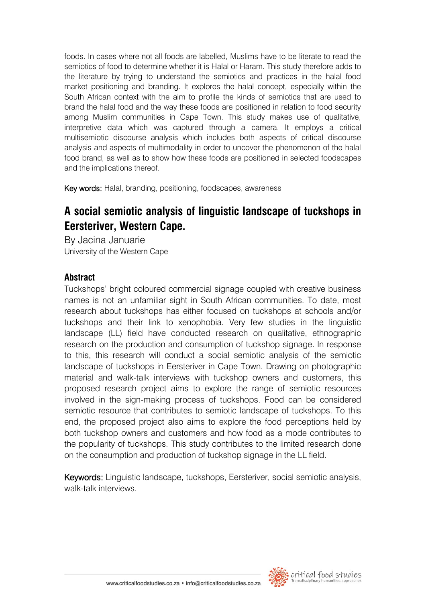foods. In cases where not all foods are labelled, Muslims have to be literate to read the semiotics of food to determine whether it is Halal or Haram. This study therefore adds to the literature by trying to understand the semiotics and practices in the halal food market positioning and branding. It explores the halal concept, especially within the South African context with the aim to profile the kinds of semiotics that are used to brand the halal food and the way these foods are positioned in relation to food security among Muslim communities in Cape Town. This study makes use of qualitative, interpretive data which was captured through a camera. It employs a critical multisemiotic discourse analysis which includes both aspects of critical discourse analysis and aspects of multimodality in order to uncover the phenomenon of the halal food brand, as well as to show how these foods are positioned in selected foodscapes and the implications thereof.

Key words: Halal, branding, positioning, foodscapes, awareness

# **A social semiotic analysis of linguistic landscape of tuckshops in Eersteriver, Western Cape.**

By Jacina Januarie University of the Western Cape

### **Abstract**

Tuckshops' bright coloured commercial signage coupled with creative business names is not an unfamiliar sight in South African communities. To date, most research about tuckshops has either focused on tuckshops at schools and/or tuckshops and their link to xenophobia. Very few studies in the linguistic landscape (LL) field have conducted research on qualitative, ethnographic research on the production and consumption of tuckshop signage. In response to this, this research will conduct a social semiotic analysis of the semiotic landscape of tuckshops in Eersteriver in Cape Town. Drawing on photographic material and walk-talk interviews with tuckshop owners and customers, this proposed research project aims to explore the range of semiotic resources involved in the sign-making process of tuckshops. Food can be considered semiotic resource that contributes to semiotic landscape of tuckshops. To this end, the proposed project also aims to explore the food perceptions held by both tuckshop owners and customers and how food as a mode contributes to the popularity of tuckshops. This study contributes to the limited research done on the consumption and production of tuckshop signage in the LL field.

Keywords: Linguistic landscape, tuckshops, Eersteriver, social semiotic analysis, walk-talk interviews.

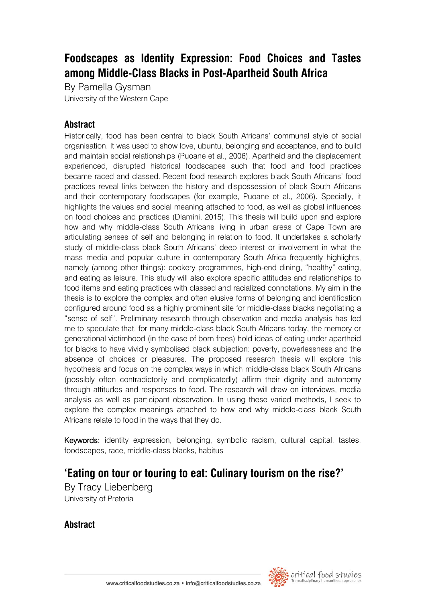# **Foodscapes as Identity Expression: Food Choices and Tastes among Middle-Class Blacks in Post-Apartheid South Africa**

By Pamella Gysman University of the Western Cape

### **Abstract**

Historically, food has been central to black South Africans' communal style of social organisation. It was used to show love, ubuntu, belonging and acceptance, and to build and maintain social relationships (Puoane et al., 2006). Apartheid and the displacement experienced, disrupted historical foodscapes such that food and food practices became raced and classed. Recent food research explores black South Africans' food practices reveal links between the history and dispossession of black South Africans and their contemporary foodscapes (for example, Puoane et al., 2006). Specially, it highlights the values and social meaning attached to food, as well as global influences on food choices and practices (Dlamini, 2015). This thesis will build upon and explore how and why middle-class South Africans living in urban areas of Cape Town are articulating senses of self and belonging in relation to food. It undertakes a scholarly study of middle-class black South Africans' deep interest or involvement in what the mass media and popular culture in contemporary South Africa frequently highlights, namely (among other things): cookery programmes, high-end dining, "healthy" eating, and eating as leisure. This study will also explore specific attitudes and relationships to food items and eating practices with classed and racialized connotations. My aim in the thesis is to explore the complex and often elusive forms of belonging and identification configured around food as a highly prominent site for middle-class blacks negotiating a "sense of self". Preliminary research through observation and media analysis has led me to speculate that, for many middle-class black South Africans today, the memory or generational victimhood (in the case of born frees) hold ideas of eating under apartheid for blacks to have vividly symbolised black subjection: poverty, powerlessness and the absence of choices or pleasures. The proposed research thesis will explore this hypothesis and focus on the complex ways in which middle-class black South Africans (possibly often contradictorily and complicatedly) affirm their dignity and autonomy through attitudes and responses to food. The research will draw on interviews, media analysis as well as participant observation. In using these varied methods, I seek to explore the complex meanings attached to how and why middle-class black South Africans relate to food in the ways that they do.

Keywords: identity expression, belonging, symbolic racism, cultural capital, tastes, foodscapes, race, middle-class blacks, habitus

# **'Eating on tour or touring to eat: Culinary tourism on the rise?'**

By Tracy Liebenberg University of Pretoria

### **Abstract**

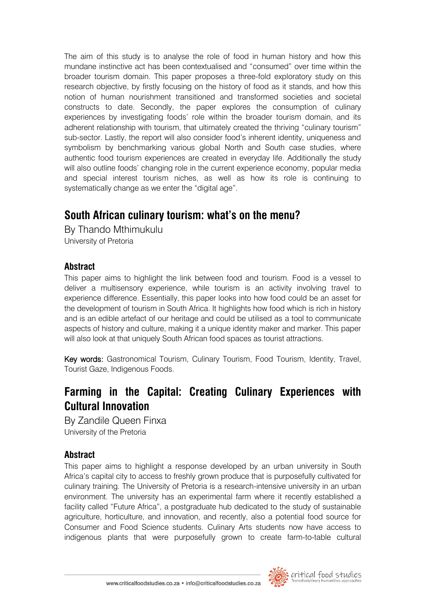The aim of this study is to analyse the role of food in human history and how this mundane instinctive act has been contextualised and "consumed" over time within the broader tourism domain. This paper proposes a three-fold exploratory study on this research objective, by firstly focusing on the history of food as it stands, and how this notion of human nourishment transitioned and transformed societies and societal constructs to date. Secondly, the paper explores the consumption of culinary experiences by investigating foods' role within the broader tourism domain, and its adherent relationship with tourism, that ultimately created the thriving "culinary tourism" sub-sector. Lastly, the report will also consider food's inherent identity, uniqueness and symbolism by benchmarking various global North and South case studies, where authentic food tourism experiences are created in everyday life. Additionally the study will also outline foods' changing role in the current experience economy, popular media and special interest tourism niches, as well as how its role is continuing to systematically change as we enter the "digital age".

# **South African culinary tourism: what's on the menu?**

By Thando Mthimukulu University of Pretoria

### **Abstract**

This paper aims to highlight the link between food and tourism. Food is a vessel to deliver a multisensory experience, while tourism is an activity involving travel to experience difference. Essentially, this paper looks into how food could be an asset for the development of tourism in South Africa. It highlights how food which is rich in history and is an edible artefact of our heritage and could be utilised as a tool to communicate aspects of history and culture, making it a unique identity maker and marker. This paper will also look at that uniquely South African food spaces as tourist attractions.

Key words: Gastronomical Tourism, Culinary Tourism, Food Tourism, Identity, Travel, Tourist Gaze, Indigenous Foods.

# **Farming in the Capital: Creating Culinary Experiences with Cultural Innovation**

By Zandile Queen Finxa University of the Pretoria

# **Abstract**

This paper aims to highlight a response developed by an urban university in South Africa's capital city to access to freshly grown produce that is purposefully cultivated for culinary training. The University of Pretoria is a research-intensive university in an urban environment. The university has an experimental farm where it recently established a facility called "Future Africa", a postgraduate hub dedicated to the study of sustainable agriculture, horticulture, and innovation, and recently, also a potential food source for Consumer and Food Science students. Culinary Arts students now have access to indigenous plants that were purposefully grown to create farm-to-table cultural

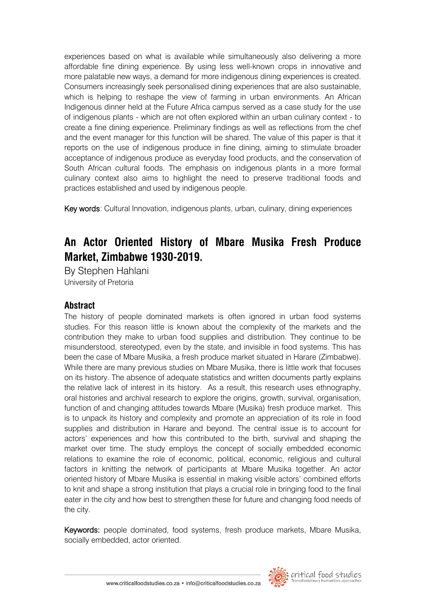experiences based on what is available while simultaneously also delivering a more affordable fine dining experience. By using less well-known crops in innovative and more palatable new ways, a demand for more indigenous dining experiences is created. Consumers increasingly seek personalised dining experiences that are also sustainable, which is helping to reshape the view of farming in urban environments. An African Indigenous dinner held at the Future Africa campus served as a case study for the use of indigenous plants - which are not often explored within an urban culinary context - to create a fine dining experience. Preliminary findings as well as reflections from the chef and the event manager for this function will be shared. The value of this paper is that it reports on the use of indigenous produce in fine dining, aiming to stimulate broader acceptance of indigenous produce as everyday food products, and the conservation of South African cultural foods. The emphasis on indigenous plants in a more formal culinary context also aims to highlight the need to preserve traditional foods and practices established and used by indigenous people.

Key words: Cultural Innovation, indigenous plants, urban, culinary, dining experiences

# **An Actor Oriented History of Mbare Musika Fresh Produce Market, Zimbabwe 1930-2019.**

By Stephen Hahlani University of Pretoria

### **Abstract**

The history of people dominated markets is often ignored in urban food systems studies. For this reason little is known about the complexity of the markets and the contribution they make to urban food supplies and distribution. They continue to be misunderstood, stereotyped, even by the state, and invisible in food systems. This has been the case of Mbare Musika, a fresh produce market situated in Harare (Zimbabwe). While there are many previous studies on Mbare Musika, there is little work that focuses on its history. The absence of adequate statistics and written documents partly explains the relative lack of interest in its history. As a result, this research uses ethnography, oral histories and archival research to explore the origins, growth, survival, organisation, function of and changing attitudes towards Mbare (Musika) fresh produce market. This is to unpack its history and complexity and promote an appreciation of its role in food supplies and distribution in Harare and beyond. The central issue is to account for actors' experiences and how this contributed to the birth, survival and shaping the market over time. The study employs the concept of socially embedded economic relations to examine the role of economic, political, economic, religious and cultural factors in knitting the network of participants at Mbare Musika together. An actor oriented history of Mbare Musika is essential in making visible actors' combined efforts to knit and shape a strong institution that plays a crucial role in bringing food to the final eater in the city and how best to strengthen these for future and changing food needs of the city.

Keywords: people dominated, food systems, fresh produce markets, Mbare Musika, socially embedded, actor oriented.

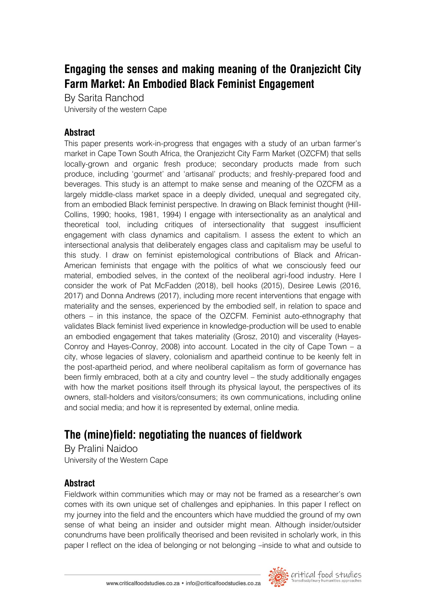# **Engaging the senses and making meaning of the Oranjezicht City Farm Market: An Embodied Black Feminist Engagement**

By Sarita Ranchod University of the western Cape

## **Abstract**

This paper presents work-in-progress that engages with a study of an urban farmer's market in Cape Town South Africa, the Oranjezicht City Farm Market (OZCFM) that sells locally-grown and organic fresh produce; secondary products made from such produce, including 'gourmet' and 'artisanal' products; and freshly-prepared food and beverages. This study is an attempt to make sense and meaning of the OZCFM as a largely middle-class market space in a deeply divided, unequal and segregated city, from an embodied Black feminist perspective. In drawing on Black feminist thought (Hill-Collins, 1990; hooks, 1981, 1994) I engage with intersectionality as an analytical and theoretical tool, including critiques of intersectionality that suggest insufficient engagement with class dynamics and capitalism. I assess the extent to which an intersectional analysis that deliberately engages class and capitalism may be useful to this study. I draw on feminist epistemological contributions of Black and African-American feminists that engage with the politics of what we consciously feed our material, embodied selves, in the context of the neoliberal agri-food industry. Here I consider the work of Pat McFadden (2018), bell hooks (2015), Desiree Lewis (2016, 2017) and Donna Andrews (2017), including more recent interventions that engage with materiality and the senses, experienced by the embodied self, in relation to space and others – in this instance, the space of the OZCFM. Feminist auto-ethnography that validates Black feminist lived experience in knowledge-production will be used to enable an embodied engagement that takes materiality (Grosz, 2010) and viscerality (Hayes-Conroy and Hayes-Conroy, 2008) into account. Located in the city of Cape Town – a city, whose legacies of slavery, colonialism and apartheid continue to be keenly felt in the post-apartheid period, and where neoliberal capitalism as form of governance has been firmly embraced, both at a city and country level – the study additionally engages with how the market positions itself through its physical layout, the perspectives of its owners, stall-holders and visitors/consumers; its own communications, including online and social media; and how it is represented by external, online media.

# **The (mine)field: negotiating the nuances of fieldwork**

By Pralini Naidoo University of the Western Cape

# **Abstract**

Fieldwork within communities which may or may not be framed as a researcher's own comes with its own unique set of challenges and epiphanies. In this paper I reflect on my journey into the field and the encounters which have muddied the ground of my own sense of what being an insider and outsider might mean. Although insider/outsider conundrums have been prolifically theorised and been revisited in scholarly work, in this paper I reflect on the idea of belonging or not belonging –inside to what and outside to

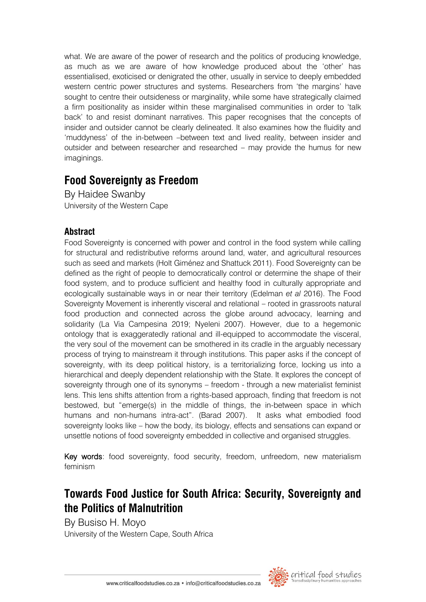what. We are aware of the power of research and the politics of producing knowledge, as much as we are aware of how knowledge produced about the 'other' has essentialised, exoticised or denigrated the other, usually in service to deeply embedded western centric power structures and systems. Researchers from 'the margins' have sought to centre their outsideness or marginality, while some have strategically claimed a firm positionality as insider within these marginalised communities in order to 'talk back' to and resist dominant narratives. This paper recognises that the concepts of insider and outsider cannot be clearly delineated. It also examines how the fluidity and 'muddyness' of the in-between –between text and lived reality, between insider and outsider and between researcher and researched – may provide the humus for new imaginings.

# **Food Sovereignty as Freedom**

By Haidee Swanby University of the Western Cape

# **Abstract**

Food Sovereignty is concerned with power and control in the food system while calling for structural and redistributive reforms around land, water, and agricultural resources such as seed and markets (Holt Giménez and Shattuck 2011). Food Sovereignty can be defined as the right of people to democratically control or determine the shape of their food system, and to produce sufficient and healthy food in culturally appropriate and ecologically sustainable ways in or near their territory (Edelman *et al* 2016). The Food Sovereignty Movement is inherently visceral and relational – rooted in grassroots natural food production and connected across the globe around advocacy, learning and solidarity (La Via Campesina 2019; Nyeleni 2007). However, due to a hegemonic ontology that is exaggeratedly rational and ill-equipped to accommodate the visceral, the very soul of the movement can be smothered in its cradle in the arguably necessary process of trying to mainstream it through institutions. This paper asks if the concept of sovereignty, with its deep political history, is a territorializing force, locking us into a hierarchical and deeply dependent relationship with the State. It explores the concept of sovereignty through one of its synonyms – freedom - through a new materialist feminist lens. This lens shifts attention from a rights-based approach, finding that freedom is not bestowed, but "emerge(s) in the middle of things, the in-between space in which humans and non-humans intra-act". (Barad 2007). It asks what embodied food sovereignty looks like – how the body, its biology, effects and sensations can expand or unsettle notions of food sovereignty embedded in collective and organised struggles.

Key words: food sovereignty, food security, freedom, unfreedom, new materialism feminism

# **Towards Food Justice for South Africa: Security, Sovereignty and the Politics of Malnutrition**

By Busiso H. Moyo University of the Western Cape, South Africa